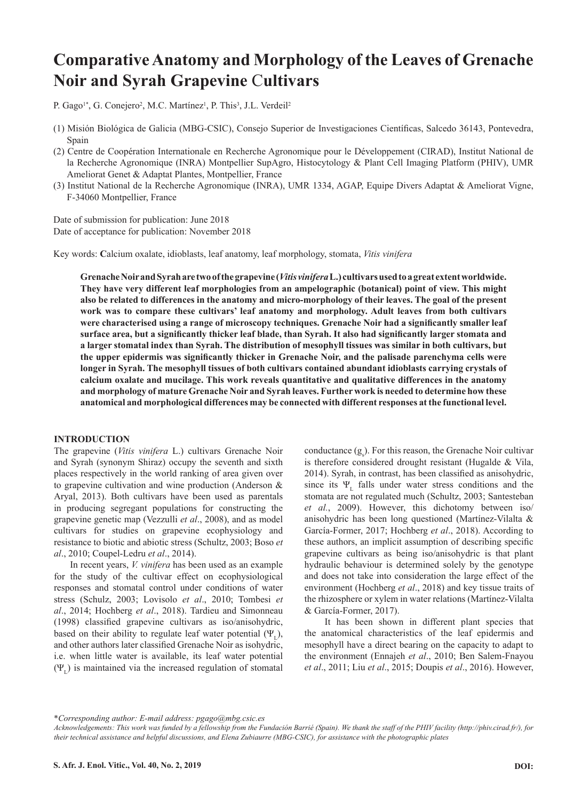# **Comparative Anatomy and Morphology of the Leaves of Grenache Noir and Syrah Grapevine** C**ultivars**

P. Gago<sup>1\*</sup>, G. Conejero<sup>2</sup>, M.C. Martínez<sup>1</sup>, P. This<sup>3</sup>, J.L. Verdeil<sup>2</sup>

- (1) Misión Biológica de Galicia (MBG-CSIC), Consejo Superior de Investigaciones Científicas, Salcedo 36143, Pontevedra, Spain
- (2) Centre de Coopération Internationale en Recherche Agronomique pour le Développement (CIRAD), Institut National de la Recherche Agronomique (INRA) Montpellier SupAgro, Histocytology & Plant Cell Imaging Platform (PHIV), UMR Ameliorat Genet & Adaptat Plantes, Montpellier, France
- (3) Institut National de la Recherche Agronomique (INRA), UMR 1334, AGAP, Equipe Divers Adaptat & Ameliorat Vigne, F-34060 Montpellier, France

Date of submission for publication: June 2018 Date of acceptance for publication: November 2018

Key words: **C**alcium oxalate, idioblasts, leaf anatomy, leaf morphology, stomata, *Vitis vinifera*

**Grenache Noir and Syrah are two of the grapevine (***Vitis vinifera* **L.) cultivars used to a great extent worldwide. They have very different leaf morphologies from an ampelographic (botanical) point of view. This might also be related to differences in the anatomy and micro-morphology of their leaves. The goal of the present work was to compare these cultivars' leaf anatomy and morphology. Adult leaves from both cultivars were characterised using a range of microscopy techniques. Grenache Noir had a significantly smaller leaf surface area, but a significantly thicker leaf blade, than Syrah. It also had significantly larger stomata and a larger stomatal index than Syrah. The distribution of mesophyll tissues was similar in both cultivars, but the upper epidermis was significantly thicker in Grenache Noir, and the palisade parenchyma cells were longer in Syrah. The mesophyll tissues of both cultivars contained abundant idioblasts carrying crystals of calcium oxalate and mucilage. This work reveals quantitative and qualitative differences in the anatomy and morphology of mature Grenache Noir and Syrah leaves. Further work is needed to determine how these anatomical and morphological differences may be connected with different responses at the functional level.**

## **INTRODUCTION**

The grapevine (*Vitis vinifera* L.) cultivars Grenache Noir and Syrah (synonym Shiraz) occupy the seventh and sixth places respectively in the world ranking of area given over to grapevine cultivation and wine production (Anderson & Aryal, 2013). Both cultivars have been used as parentals in producing segregant populations for constructing the grapevine genetic map (Vezzulli *et al*., 2008), and as model cultivars for studies on grapevine ecophysiology and resistance to biotic and abiotic stress (Schultz, 2003; Boso *et al*., 2010; Coupel-Ledru *et al*., 2014).

In recent years, *V. vinifera* has been used as an example for the study of the cultivar effect on ecophysiological responses and stomatal control under conditions of water stress (Schulz, 2003; Lovisolo *et al*., 2010; Tombesi *et al*., 2014; Hochberg *et al*., 2018). Tardieu and Simonneau (1998) classified grapevine cultivars as iso/anisohydric, based on their ability to regulate leaf water potential  $(\Psi_{\tau})$ , and other authors later classified Grenache Noir as isohydric, i.e. when little water is available, its leaf water potential  $(\Psi_{\rm r})$  is maintained via the increased regulation of stomatal

conductance  $(g_s)$ . For this reason, the Grenache Noir cultivar is therefore considered drought resistant (Hugalde & Vila, 2014). Syrah, in contrast, has been classified as anisohydric, since its  $\Psi_{\text{L}}$  falls under water stress conditions and the stomata are not regulated much (Schultz, 2003; Santesteban *et al.*, 2009). However, this dichotomy between iso/ anisohydric has been long questioned (Martínez-Vilalta & García-Former, 2017; Hochberg *et al*., 2018). According to these authors, an implicit assumption of describing specific grapevine cultivars as being iso/anisohydric is that plant hydraulic behaviour is determined solely by the genotype and does not take into consideration the large effect of the environment (Hochberg *et al*., 2018) and key tissue traits of the rhizosphere or xylem in water relations (Martínez-Vilalta & García-Former, 2017).

It has been shown in different plant species that the anatomical characteristics of the leaf epidermis and mesophyll have a direct bearing on the capacity to adapt to the environment (Ennajeh *et al*., 2010; Ben Salem-Fnayou *et al*., 2011; Liu *et al*., 2015; Doupis *et al*., 2016). However,

\**Corresponding author: E-mail address: pgago@mbg.csic.es*

*Acknowledgements: This work was funded by a fellowship from the Fundación Barrié (Spain). We thank the staff of the PHIV facility (http://phiv.cirad.fr/), for their technical assistance and helpful discussions, and Elena Zubiaurre (MBG-CSIC), for assistance with the photographic plates*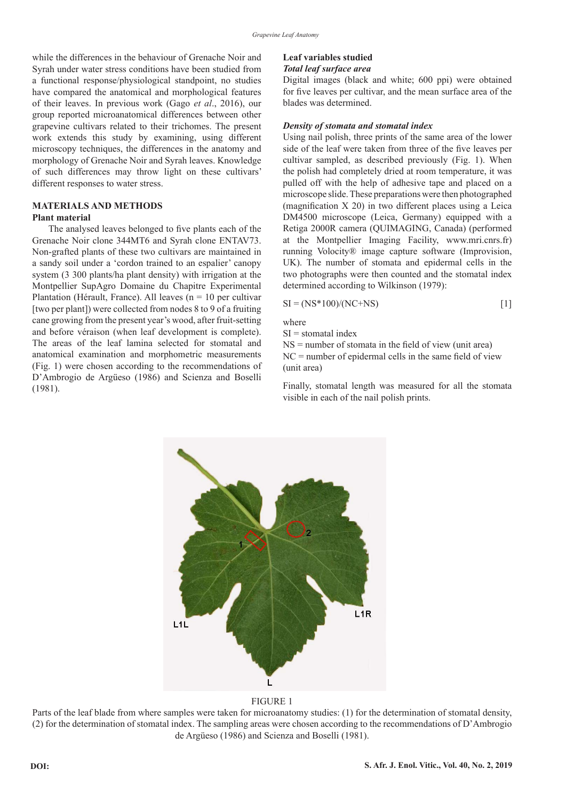while the differences in the behaviour of Grenache Noir and Syrah under water stress conditions have been studied from a functional response/physiological standpoint, no studies have compared the anatomical and morphological features of their leaves. In previous work (Gago *et al*., 2016), our group reported microanatomical differences between other grapevine cultivars related to their trichomes. The present work extends this study by examining, using different microscopy techniques, the differences in the anatomy and morphology of Grenache Noir and Syrah leaves. Knowledge of such differences may throw light on these cultivars' different responses to water stress.

#### **MATERIALS AND METHODS Plant material**

The analysed leaves belonged to five plants each of the Grenache Noir clone 344MT6 and Syrah clone ENTAV73. Non-grafted plants of these two cultivars are maintained in a sandy soil under a 'cordon trained to an espalier' canopy system (3 300 plants/ha plant density) with irrigation at the Montpellier SupAgro Domaine du Chapitre Experimental Plantation (Hérault, France). All leaves ( $n = 10$  per cultivar [two per plant]) were collected from nodes 8 to 9 of a fruiting cane growing from the present year's wood, after fruit-setting and before véraison (when leaf development is complete). The areas of the leaf lamina selected for stomatal and anatomical examination and morphometric measurements (Fig. 1) were chosen according to the recommendations of D'Ambrogio de Argüeso (1986) and Scienza and Boselli (1981).

## **Leaf variables studied**

## *Total leaf surface area*

Digital images (black and white; 600 ppi) were obtained for five leaves per cultivar, and the mean surface area of the blades was determined.

## *Density of stomata and stomatal index*

Using nail polish, three prints of the same area of the lower side of the leaf were taken from three of the five leaves per cultivar sampled, as described previously (Fig. 1). When the polish had completely dried at room temperature, it was pulled off with the help of adhesive tape and placed on a microscope slide. These preparations were then photographed (magnification X 20) in two different places using a Leica DM4500 microscope (Leica, Germany) equipped with a Retiga 2000R camera (QUIMAGING, Canada) (performed at the Montpellier Imaging Facility, www.mri.cnrs.fr) running Volocity® image capture software (Improvision, UK). The number of stomata and epidermal cells in the two photographs were then counted and the stomatal index determined according to Wilkinson (1979):

$$
SI = (NS*100)/(NC+NS)
$$
 [1]

where

 $SI =$ stomatal index

 $NS =$  number of stomata in the field of view (unit area) NC = number of epidermal cells in the same field of view (unit area)

Finally, stomatal length was measured for all the stomata visible in each of the nail polish prints.



## FIGURE 1

Parts of the leaf blade from where samples were taken for microanatomy studies: (1) for the determination of stomatal density, (2) for the determination of stomatal index. The sampling areas were chosen according to the recommendations of D'Ambrogio de Argüeso (1986) and Scienza and Boselli (1981).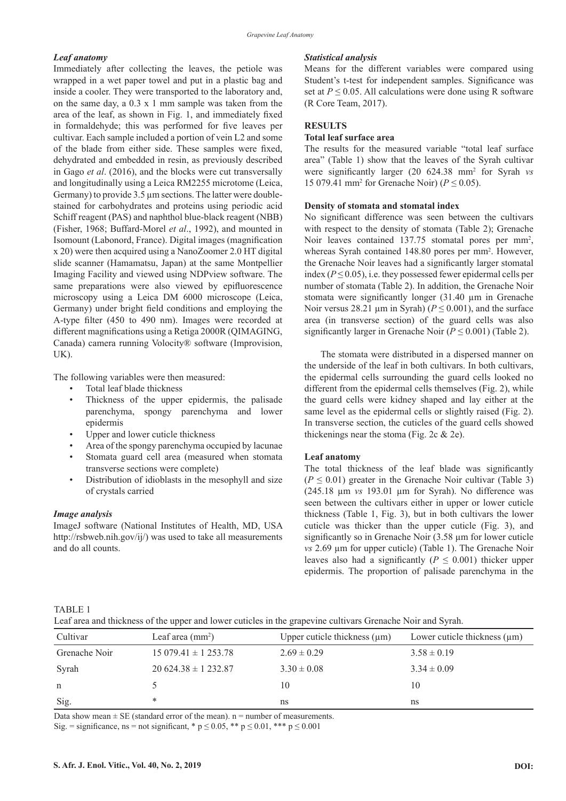## *Leaf anatomy*

Immediately after collecting the leaves, the petiole was wrapped in a wet paper towel and put in a plastic bag and inside a cooler. They were transported to the laboratory and, on the same day, a 0.3 x 1 mm sample was taken from the area of the leaf, as shown in Fig. 1, and immediately fixed in formaldehyde; this was performed for five leaves per cultivar. Each sample included a portion of vein L2 and some of the blade from either side. These samples were fixed, dehydrated and embedded in resin, as previously described in Gago *et al*. (2016), and the blocks were cut transversally and longitudinally using a Leica RM2255 microtome (Leica, Germany) to provide 3.5 µm sections. The latter were doublestained for carbohydrates and proteins using periodic acid Schiff reagent (PAS) and naphthol blue-black reagent (NBB) (Fisher, 1968; Buffard-Morel *et al*., 1992), and mounted in Isomount (Labonord, France). Digital images (magnification x 20) were then acquired using a NanoZoomer 2.0 HT digital slide scanner (Hamamatsu, Japan) at the same Montpellier Imaging Facility and viewed using NDPview software. The same preparations were also viewed by epifluorescence microscopy using a Leica DM 6000 microscope (Leica, Germany) under bright field conditions and employing the A-type filter (450 to 490 nm). Images were recorded at different magnifications using a Retiga 2000R (QIMAGING, Canada) camera running Volocity® software (Improvision, UK).

The following variables were then measured:

- Total leaf blade thickness
- Thickness of the upper epidermis, the palisade parenchyma, spongy parenchyma and lower epidermis
- Upper and lower cuticle thickness
- Area of the spongy parenchyma occupied by lacunae Stomata guard cell area (measured when stomata
- transverse sections were complete)
- Distribution of idioblasts in the mesophyll and size of crystals carried

## *Image analysis*

ImageJ software (National Institutes of Health, MD, USA http://rsbweb.nih.gov/ij/) was used to take all measurements and do all counts.

#### *Statistical analysis*

Means for the different variables were compared using Student's t-test for independent samples. Significance was set at  $P \le 0.05$ . All calculations were done using R software (R Core Team, 2017).

## **RESULTS**

## **Total leaf surface area**

The results for the measured variable "total leaf surface area" (Table 1) show that the leaves of the Syrah cultivar were significantly larger (20 624.38 mm<sup>2</sup> for Syrah *vs* 15 079.41 mm<sup>2</sup> for Grenache Noir) ( $P \le 0.05$ ).

#### **Density of stomata and stomatal index**

No significant difference was seen between the cultivars with respect to the density of stomata (Table 2); Grenache Noir leaves contained 137.75 stomatal pores per mm<sup>2</sup>, whereas Syrah contained 148.80 pores per mm<sup>2</sup>. However, the Grenache Noir leaves had a significantly larger stomatal index  $(P \le 0.05)$ , i.e. they possessed fewer epidermal cells per number of stomata (Table 2). In addition, the Grenache Noir stomata were significantly longer (31.40 µm in Grenache Noir versus 28.21  $\mu$ m in Syrah) ( $P \le 0.001$ ), and the surface area (in transverse section) of the guard cells was also significantly larger in Grenache Noir ( $P \le 0.001$ ) (Table 2).

The stomata were distributed in a dispersed manner on the underside of the leaf in both cultivars. In both cultivars, the epidermal cells surrounding the guard cells looked no different from the epidermal cells themselves (Fig. 2), while the guard cells were kidney shaped and lay either at the same level as the epidermal cells or slightly raised (Fig. 2). In transverse section, the cuticles of the guard cells showed thickenings near the stoma (Fig. 2c & 2e).

## **Leaf anatomy**

The total thickness of the leaf blade was significantly  $(P \le 0.01)$  greater in the Grenache Noir cultivar (Table 3) (245.18 µm *vs* 193.01 µm for Syrah). No difference was seen between the cultivars either in upper or lower cuticle thickness (Table 1, Fig. 3), but in both cultivars the lower cuticle was thicker than the upper cuticle (Fig. 3), and significantly so in Grenache Noir (3.58 um for lower cuticle *vs* 2.69 µm for upper cuticle) (Table 1). The Grenache Noir leaves also had a significantly ( $P \leq 0.001$ ) thicker upper epidermis. The proportion of palisade parenchyma in the

## TABLE 1

Leaf area and thickness of the upper and lower cuticles in the grapevine cultivars Grenache Noir and Syrah.

| Cultivar      | Leaf area $\text{(mm)}^2$  | Upper cuticle thickness $(\mu m)$ | Lower cuticle thickness $(\mu m)$ |
|---------------|----------------------------|-----------------------------------|-----------------------------------|
| Grenache Noir | $15\,079.41 \pm 1\,253.78$ | $2.69 \pm 0.29$                   | $3.58 \pm 0.19$                   |
| Syrah         | $20624.38 \pm 1232.87$     | $3.30 \pm 0.08$                   | $3.34 \pm 0.09$                   |
| n             |                            | 10                                | 10                                |
| Sig.          | *                          | ns                                | ns                                |

Data show mean  $\pm$  SE (standard error of the mean). n = number of measurements.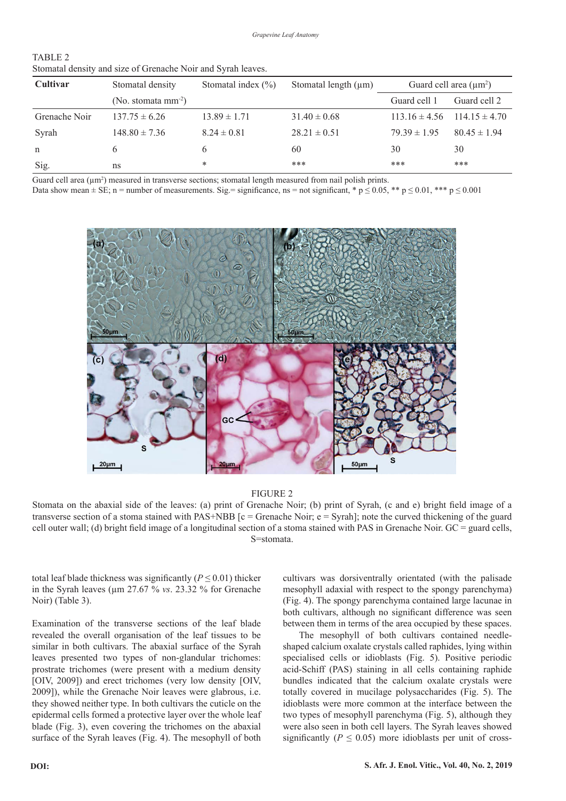| Cultivar      | Stomatal density         | Stomatal index $(\% )$ | Stomatal length $(\mu m)$ | Guard cell area $(\mu m^2)$ |                   |
|---------------|--------------------------|------------------------|---------------------------|-----------------------------|-------------------|
|               | (No. stomata $mm^{-2}$ ) |                        |                           | Guard cell 1                | Guard cell 2      |
| Grenache Noir | $137.75 \pm 6.26$        | $13.89 \pm 1.71$       | $31.40 \pm 0.68$          | $113.16 \pm 4.56$           | $114.15 \pm 4.70$ |
| Syrah         | $148.80 \pm 7.36$        | $8.24 \pm 0.81$        | $28.21 \pm 0.51$          | $79.39 \pm 1.95$            | $80.45 \pm 1.94$  |
| n             | b                        | <sub>b</sub>           | 60                        | 30                          | 30                |
| Sig.          | ns                       | *                      | ***                       | ***                         | ***               |

TABLE 2 Stomatal density and size of Grenache Noir and Syrah leaves.

Guard cell area  $(\mu m^2)$  measured in transverse sections; stomatal length measured from nail polish prints.

Data show mean  $\pm$  SE; n = number of measurements. Sig.= significance, ns = not significant, \* p  $\leq$  0.05, \*\* p  $\leq$  0.01, \*\*\* p  $\leq$  0.001



## FIGURE 2

Stomata on the abaxial side of the leaves: (a) print of Grenache Noir; (b) print of Syrah, (c and e) bright field image of a transverse section of a stoma stained with PAS+NBB  $[c =$  Grenache Noir;  $e =$  Syrah]; note the curved thickening of the guard cell outer wall; (d) bright field image of a longitudinal section of a stoma stained with PAS in Grenache Noir.  $GC =$  guard cells, S=stomata.

total leaf blade thickness was significantly ( $P \le 0.01$ ) thicker in the Syrah leaves (µm 27.67 % *vs*. 23.32 % for Grenache Noir) (Table 3).

Examination of the transverse sections of the leaf blade revealed the overall organisation of the leaf tissues to be similar in both cultivars. The abaxial surface of the Syrah leaves presented two types of non-glandular trichomes: prostrate trichomes (were present with a medium density [OIV, 2009]) and erect trichomes (very low density [OIV, 2009]), while the Grenache Noir leaves were glabrous, i.e. they showed neither type. In both cultivars the cuticle on the epidermal cells formed a protective layer over the whole leaf blade (Fig. 3), even covering the trichomes on the abaxial surface of the Syrah leaves (Fig. 4). The mesophyll of both cultivars was dorsiventrally orientated (with the palisade mesophyll adaxial with respect to the spongy parenchyma) (Fig. 4). The spongy parenchyma contained large lacunae in both cultivars, although no significant difference was seen between them in terms of the area occupied by these spaces.

The mesophyll of both cultivars contained needleshaped calcium oxalate crystals called raphides, lying within specialised cells or idioblasts (Fig. 5). Positive periodic acid-Schiff (PAS) staining in all cells containing raphide bundles indicated that the calcium oxalate crystals were totally covered in mucilage polysaccharides (Fig. 5). The idioblasts were more common at the interface between the two types of mesophyll parenchyma (Fig. 5), although they 1 were also seen in both cell layers. The Syrah leaves showed significantly ( $P \le 0.05$ ) more idioblasts per unit of cross-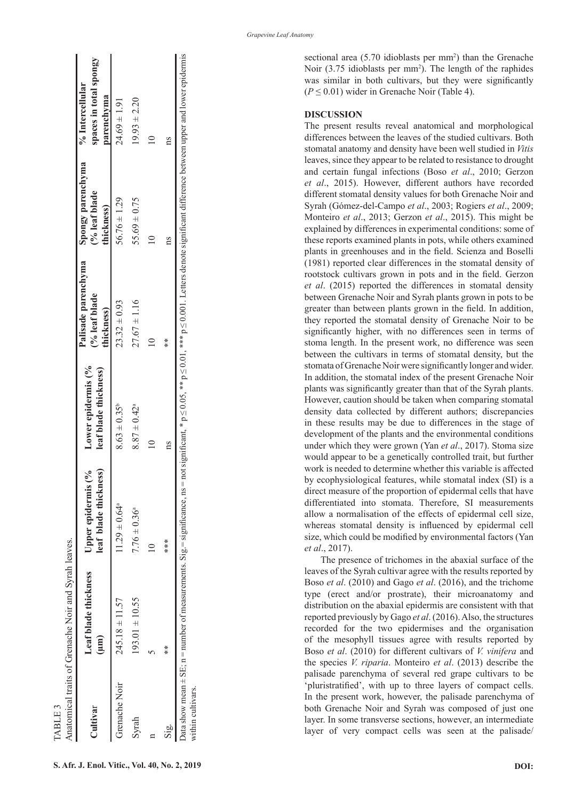|                   | Anatomical traits of Grenache Noir and Syrah leaves.                               |                                                             |                                             |                                                                                                                                                 |                             |                                                         |
|-------------------|------------------------------------------------------------------------------------|-------------------------------------------------------------|---------------------------------------------|-------------------------------------------------------------------------------------------------------------------------------------------------|-----------------------------|---------------------------------------------------------|
| Cultivar          | Leaf blade thickness<br>$(\mu m)$                                                  | leaf blade thickness)<br>$\frac{6}{6}$<br>Upper epidermis ( | Lower epidermis (%<br>leaf blade thickness) | Palisade parenchyma<br>Spongy parenchyma<br>(% leaf blade<br>thickness)                                                                         | (% leaf blade<br>thickness) | spaces in total spongy<br>% Intercellular<br>parenchyma |
| Grenache Noir     | $245.18 \pm 11.57$                                                                 | $11.29 \pm 0.64$ <sup>a</sup>                               | $8.63 \pm 0.35^{\circ}$                     | $23.32 \pm 0.93$                                                                                                                                | $56.76 \pm 1.29$            | $24.69 \pm 1.91$                                        |
| Syrah             | $193.01 \pm 10.55$                                                                 | $7.76 \pm 0.36^a$                                           | $8.87 \pm 0.42^{\circ}$                     | $27.67 \pm 1.16$                                                                                                                                | $55.69 \pm 0.75$            | $19.93 \pm 2.20$                                        |
|                   |                                                                                    |                                                             |                                             |                                                                                                                                                 |                             |                                                         |
| Sig.              | $**$                                                                               | ***                                                         |                                             | $*$                                                                                                                                             |                             | ns                                                      |
| within cultivars. | Data show mean $\pm$ SE; $n =$ number of measurements. Sig. = significance, $ns =$ |                                                             |                                             | not significant, * $p \le 0.05$ , ** $p \le 0.01$ , *** $p \le 0.001$ . Letters denote significant difference between upper and lower epidermis |                             |                                                         |

sectional area (5.70 idioblasts per mm<sup>2</sup>) than the Grenache Noir (3.75 idioblasts per mm 2 ). The length of the raphides was similar in both cultivars, but they were significantly  $(P \le 0.01)$  wider in Grenache Noir (Table 4).

#### **DISCUSSION**

The present results reveal anatomical and morphological differences between the leaves of the studied cultivars. Both stomatal anatomy and density have been well studied in *Vitis* leaves, since they appear to be related to resistance to drought and certain fungal infections (Boso *et al*., 2010; Gerzon *et al*., 2015). However, different authors have recorded different stomatal density values for both Grenache Noir and Syrah (Gómez-del-Campo *et al*., 2003; Rogiers *et al*., 2009; Monteiro *et al*., 2013; Gerzon *et al*., 2015). This might be explained by differences in experimental conditions: some of these reports examined plants in pots, while others examined plants in greenhouses and in the field. Scienza and Boselli (1981) reported clear differences in the stomatal density of rootstock cultivars grown in pots and in the field. Gerzon *et al*. (2015) reported the differences in stomatal density between Grenache Noir and Syrah plants grown in pots to be greater than between plants grown in the field. In addition, they reported the stomatal density of Grenache Noir to be significantly higher, with no differences seen in terms of stoma length. In the present work, no difference was seen between the cultivars in terms of stomatal density, but the stomata of Grenache Noir were significantly longer and wider. In addition, the stomatal index of the present Grenache Noir plants was significantly greater than that of the Syrah plants. However, caution should be taken when comparing stomatal density data collected by different authors; discrepancies in these results may be due to differences in the stage of development of the plants and the environmental conditions under which they were grown (Yan *et al*., 2017). Stoma size would appear to be a genetically controlled trait, but further work is needed to determine whether this variable is affected by ecophysiological features, while stomatal index (SI) is a direct measure of the proportion of epidermal cells that have differentiated into stomata. Therefore, SI measurements allow a normalisation of the effects of epidermal cell size, whereas stomatal density is influenced by epidermal cell size, which could be modified by environmental factors (Yan *et al*., 2017).

The presence of trichomes in the abaxial surface of the leaves of the Syrah cultivar agree with the results reported by Boso *et al*. (2010) and Gago *et al*. (2016), and the trichome type (erect and/or prostrate), their microanatomy and distribution on the abaxial epidermis are consistent with that reported previously by Gago *et al*. (2016). Also, the structures recorded for the two epidermises and the organisation of the mesophyll tissues agree with results reported by Boso *et al*. (2010) for different cultivars of *V. vinifera* and the species *V. riparia*. Monteiro *et al*. (2013) describe the palisade parenchyma of several red grape cultivars to be 'pluristratified', with up to three layers of compact cells. In the present work, however, the palisade parenchyma of both Grenache Noir and Syrah was composed of just one layer. In some transverse sections, however, an intermediate layer of very compact cells was seen at the palisade/

TABLE 3

**CABLE** 3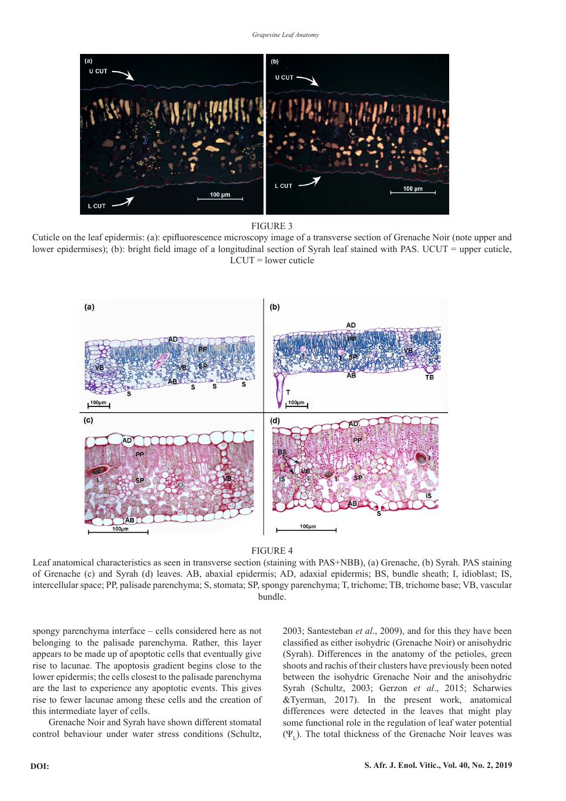

FIGURE 3

Cuticle on the leaf epidermis: (a): epifluorescence microscopy image of a transverse section of Grenache Noir (note upper and lower epidermises); (b): bright field image of a longitudinal section of Syrah leaf stained with PAS. UCUT = upper cuticle,  $LCUT = lower$  cuticle





Leaf anatomical characteristics as seen in transverse section (staining with PAS+NBB), (a) Grenache, (b) Syrah. PAS staining of Grenache (c) and Syrah (d) leaves. AB, abaxial epidermis; AD, adaxial epidermis; BS, bundle sheath; I, idioblast; IS, intercellular space; PP, palisade parenchyma; S, stomata; SP, spongy parenchyma; T, trichome; TB, trichome base; VB, vascular bundle.

spongy parenchyma interface – cells considered here as not belonging to the palisade parenchyma. Rather, this layer appears to be made up of apoptotic cells that eventually give rise to lacunae. The apoptosis gradient begins close to the lower epidermis; the cells closest to the palisade parenchyma are the last to experience any apoptotic events. This gives rise to fewer lacunae among these cells and the creation of this intermediate layer of cells.

Grenache Noir and Syrah have shown different stomatal control behaviour under water stress conditions (Schultz, 2003; Santesteban *et al*., 2009), and for this they have been classified as either isohydric (Grenache Noir) or anisohydric (Syrah). Differences in the anatomy of the petioles, green shoots and rachis of their clusters have previously been noted between the isohydric Grenache Noir and the anisohydric Syrah (Schultz, 2003; Gerzon *et al*., 2015; Scharwies &Tyerman, 2017). In the present work, anatomical differences were detected in the leaves that might play some functional role in the regulation of leaf water potential  $(\Psi_{\rm r})$ . The total thickness of the Grenache Noir leaves was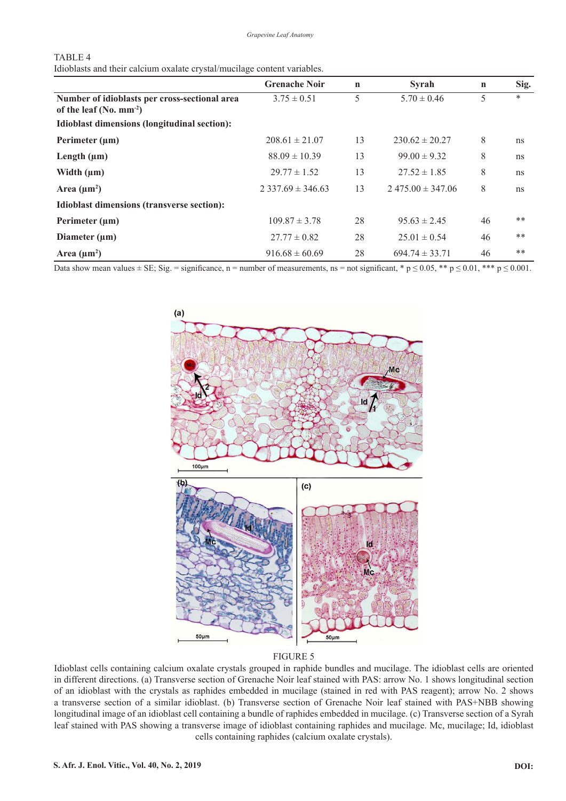| וכור |  |
|------|--|
|------|--|

Idioblasts and their calcium oxalate crystal/mucilage content variables.

|                                               | <b>Grenache Noir</b>  | $\mathbf n$ | Syrah                 | $\mathbf n$ | Sig.   |
|-----------------------------------------------|-----------------------|-------------|-----------------------|-------------|--------|
| Number of idioblasts per cross-sectional area | $3.75 \pm 0.51$       | 5           | $5.70 \pm 0.46$       | 5           | $\ast$ |
| of the leaf $(N_0, \text{mm}^{-2})$           |                       |             |                       |             |        |
| Idioblast dimensions (longitudinal section):  |                       |             |                       |             |        |
| Perimeter $(\mu m)$                           | $208.61 \pm 21.07$    | 13          | $230.62 \pm 20.27$    | 8           | ns     |
| Length $(\mu m)$                              | $88.09 \pm 10.39$     | 13          | $99.00 \pm 9.32$      | 8           | ns     |
| Width $(\mu m)$                               | $29.77 \pm 1.52$      | 13          | $27.52 \pm 1.85$      | 8           | ns     |
| Area $(\mu m^2)$                              | $2,337.69 \pm 346.63$ | 13          | $2,475.00 \pm 347.06$ | 8           | ns     |
| Idioblast dimensions (transverse section):    |                       |             |                       |             |        |
| Perimeter $(\mu m)$                           | $109.87 \pm 3.78$     | 28          | $95.63 \pm 2.45$      | 46          | $***$  |
| Diameter $(\mu m)$                            | $27.77 \pm 0.82$      | 28          | $25.01 \pm 0.54$      | 46          | $***$  |
| Area $(\mu m^2)$                              | $916.68 \pm 60.69$    | 28          | $694.74 \pm 33.71$    | 46          | **     |

Data show mean values  $\pm$  SE; Sig. = significance, n = number of measurements, ns = not significant, \* p  $\leq$  0.05, \*\* p  $\leq$  0.01, \*\*\* p  $\leq$  0.001.



## FIGURE 5

Idioblast cells containing calcium oxalate crystals grouped in raphide bundles and mucilage. The idioblast cells are oriented in different directions. (a) Transverse section of Grenache Noir leaf stained with PAS: arrow No. 1 shows longitudinal section of an idioblast with the crystals as raphides embedded in mucilage (stained in red with PAS reagent); arrow No. 2 shows a transverse section of a similar idioblast. (b) Transverse section of Grenache Noir leaf stained with PAS+NBB showing longitudinal image of an idioblast cell containing a bundle of raphides embedded in mucilage. (c) Transverse section of a Syrah leaf stained with PAS showing a transverse image of idioblast containing raphides and mucilage. Mc, mucilage; Id, idioblast cells containing raphides (calcium oxalate crystals).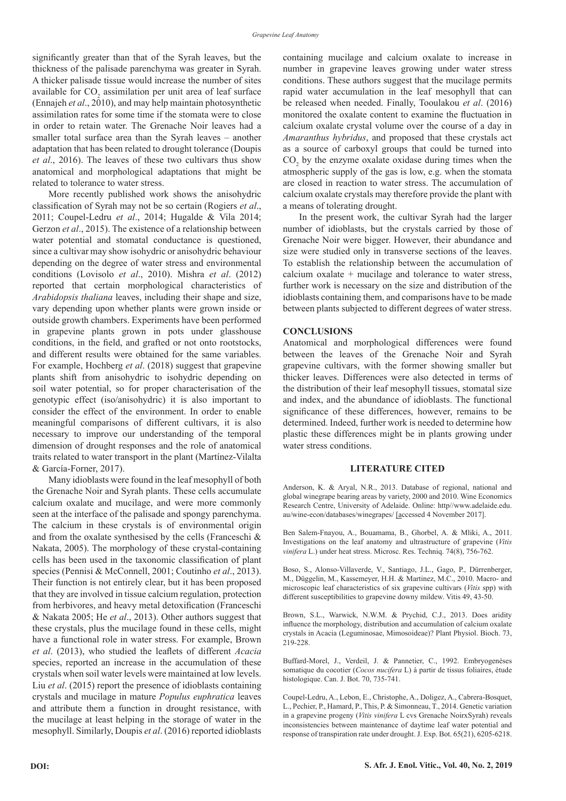significantly greater than that of the Syrah leaves, but the thickness of the palisade parenchyma was greater in Syrah. A thicker palisade tissue would increase the number of sites available for  $CO_2$  assimilation per unit area of leaf surface (Ennajeh *et al*., 2010), and may help maintain photosynthetic assimilation rates for some time if the stomata were to close in order to retain water. The Grenache Noir leaves had a smaller total surface area than the Syrah leaves – another adaptation that has been related to drought tolerance (Doupis *et al*., 2016). The leaves of these two cultivars thus show anatomical and morphological adaptations that might be related to tolerance to water stress.

More recently published work shows the anisohydric classification of Syrah may not be so certain (Rogiers *et al*., 2011; Coupel-Ledru *et al*., 2014; Hugalde & Vila 2014; Gerzon *et al*., 2015). The existence of a relationship between water potential and stomatal conductance is questioned, since a cultivar may show isohydric or anisohydric behaviour depending on the degree of water stress and environmental conditions (Lovisolo *et al*., 2010). Mishra *et al*. (2012) reported that certain morphological characteristics of *Arabidopsis thaliana* leaves, including their shape and size, vary depending upon whether plants were grown inside or outside growth chambers. Experiments have been performed in grapevine plants grown in pots under glasshouse conditions, in the field, and grafted or not onto rootstocks, and different results were obtained for the same variables. For example, Hochberg *et al*. (2018) suggest that grapevine plants shift from anisohydric to isohydric depending on soil water potential, so for proper characterisation of the genotypic effect (iso/anisohydric) it is also important to consider the effect of the environment. In order to enable meaningful comparisons of different cultivars, it is also necessary to improve our understanding of the temporal dimension of drought responses and the role of anatomical traits related to water transport in the plant (Martínez-Vilalta & García-Forner, 2017).

Many idioblasts were found in the leaf mesophyll of both the Grenache Noir and Syrah plants. These cells accumulate calcium oxalate and mucilage, and were more commonly seen at the interface of the palisade and spongy parenchyma. The calcium in these crystals is of environmental origin and from the oxalate synthesised by the cells (Franceschi & Nakata, 2005). The morphology of these crystal-containing cells has been used in the taxonomic classification of plant species (Pennisi & McConnell, 2001; Coutinho *et al*., 2013). Their function is not entirely clear, but it has been proposed that they are involved in tissue calcium regulation, protection from herbivores, and heavy metal detoxification (Franceschi & Nakata 2005; He *et al*., 2013). Other authors suggest that these crystals, plus the mucilage found in these cells, might have a functional role in water stress. For example, Brown *et al*. (2013), who studied the leaflets of different *Acacia* species, reported an increase in the accumulation of these crystals when soil water levels were maintained at low levels. Liu *et al*. (2015) report the presence of idioblasts containing crystals and mucilage in mature *Populus euphratica* leaves and attribute them a function in drought resistance, with the mucilage at least helping in the storage of water in the mesophyll. Similarly, Doupis *et al*. (2016) reported idioblasts

containing mucilage and calcium oxalate to increase in number in grapevine leaves growing under water stress conditions. These authors suggest that the mucilage permits rapid water accumulation in the leaf mesophyll that can be released when needed. Finally, Tooulakou *et al*. (2016) monitored the oxalate content to examine the fluctuation in calcium oxalate crystal volume over the course of a day in *Amaranthus hybridus*, and proposed that these crystals act as a source of carboxyl groups that could be turned into  $CO<sub>2</sub>$  by the enzyme oxalate oxidase during times when the atmospheric supply of the gas is low, e.g. when the stomata are closed in reaction to water stress. The accumulation of calcium oxalate crystals may therefore provide the plant with a means of tolerating drought.

In the present work, the cultivar Syrah had the larger number of idioblasts, but the crystals carried by those of Grenache Noir were bigger. However, their abundance and size were studied only in transverse sections of the leaves. To establish the relationship between the accumulation of calcium oxalate + mucilage and tolerance to water stress, further work is necessary on the size and distribution of the idioblasts containing them, and comparisons have to be made between plants subjected to different degrees of water stress.

#### **CONCLUSIONS**

Anatomical and morphological differences were found between the leaves of the Grenache Noir and Syrah grapevine cultivars, with the former showing smaller but thicker leaves. Differences were also detected in terms of the distribution of their leaf mesophyll tissues, stomatal size and index, and the abundance of idioblasts. The functional significance of these differences, however, remains to be determined. Indeed, further work is needed to determine how plastic these differences might be in plants growing under water stress conditions.

#### **LITERATURE CITED**

Anderson, K. & Aryal, N.R., 2013. Database of regional, national and global winegrape bearing areas by variety, 2000 and 2010. Wine Economics Research Centre, University of Adelaide. Online: http//www.adelaide.edu. au/wine-econ/databases/winegrapes/ [accessed 4 November 2017].

Ben Salem-Fnayou, A., Bouamama, B., Ghorbel, A. & Mliki, A., 2011. Investigations on the leaf anatomy and ultrastructure of grapevine (*Vitis vinifera* L.) under heat stress. Microsc. Res. Techniq. 74(8), 756-762.

Boso, S., Alonso-Villaverde, V., Santiago, J.L., Gago, P., Dürrenberger, M., Düggelin, M., Kassemeyer, H.H. & Martinez, M.C., 2010. Macro- and microscopic leaf characteristics of six grapevine cultivars (*Vitis* spp) with different susceptibilities to grapevine downy mildew. Vitis 49, 43-50.

Brown, S.L., Warwick, N.W.M. & Prychid, C.J., 2013. Does aridity influence the morphology, distribution and accumulation of calcium oxalate crystals in Acacia (Leguminosae, Mimosoideae)? Plant Physiol. Bioch. 73, 219-228.

Buffard-Morel, J., Verdeil, J. & Pannetier, C., 1992. Embryogenèses somatique du cocotier (*Cocos nucifera* L) à partir de tissus foliaires, étude histologique. Can. J. Bot. 70, 735-741.

Coupel-Ledru, A., Lebon, E., Christophe, A., Doligez, A., Cabrera-Bosquet, L., Pechier, P., Hamard, P., This, P. & Simonneau, T., 2014. Genetic variation in a grapevine progeny (*Vitis vinifera* L cvs Grenache NoirxSyrah) reveals inconsistencies between maintenance of daytime leaf water potential and response of transpiration rate under drought. J. Exp. Bot. 65(21), 6205-6218.